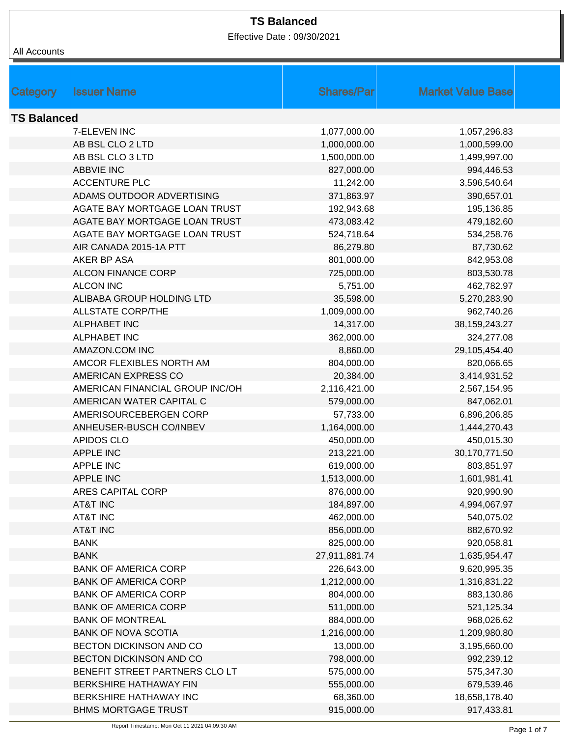Effective Date : 09/30/2021

| All Accounts |  |
|--------------|--|
|--------------|--|

|                    | <b>Issuer Name</b>              | <b>Shares/Par</b> |                          |  |
|--------------------|---------------------------------|-------------------|--------------------------|--|
| Category           |                                 |                   | <b>Market Value Base</b> |  |
| <b>TS Balanced</b> |                                 |                   |                          |  |
|                    | 7-ELEVEN INC                    | 1,077,000.00      | 1,057,296.83             |  |
|                    | AB BSL CLO 2 LTD                | 1,000,000.00      | 1,000,599.00             |  |
|                    | AB BSL CLO 3 LTD                | 1,500,000.00      | 1,499,997.00             |  |
|                    | <b>ABBVIE INC</b>               | 827,000.00        | 994,446.53               |  |
|                    | <b>ACCENTURE PLC</b>            | 11,242.00         | 3,596,540.64             |  |
|                    | ADAMS OUTDOOR ADVERTISING       | 371,863.97        | 390,657.01               |  |
|                    | AGATE BAY MORTGAGE LOAN TRUST   | 192,943.68        | 195,136.85               |  |
|                    | AGATE BAY MORTGAGE LOAN TRUST   | 473,083.42        | 479,182.60               |  |
|                    | AGATE BAY MORTGAGE LOAN TRUST   | 524,718.64        | 534,258.76               |  |
|                    | AIR CANADA 2015-1A PTT          | 86,279.80         | 87,730.62                |  |
|                    | AKER BP ASA                     | 801,000.00        | 842,953.08               |  |
|                    | <b>ALCON FINANCE CORP</b>       | 725,000.00        | 803,530.78               |  |
|                    | <b>ALCON INC</b>                | 5,751.00          | 462,782.97               |  |
|                    | ALIBABA GROUP HOLDING LTD       | 35,598.00         | 5,270,283.90             |  |
|                    | <b>ALLSTATE CORP/THE</b>        | 1,009,000.00      | 962,740.26               |  |
|                    | <b>ALPHABET INC</b>             | 14,317.00         | 38,159,243.27            |  |
|                    | <b>ALPHABET INC</b>             | 362,000.00        | 324,277.08               |  |
|                    | AMAZON.COM INC                  | 8,860.00          | 29,105,454.40            |  |
|                    | AMCOR FLEXIBLES NORTH AM        | 804,000.00        | 820,066.65               |  |
|                    | AMERICAN EXPRESS CO             | 20,384.00         | 3,414,931.52             |  |
|                    | AMERICAN FINANCIAL GROUP INC/OH | 2,116,421.00      | 2,567,154.95             |  |
|                    | AMERICAN WATER CAPITAL C        | 579,000.00        | 847,062.01               |  |
|                    | AMERISOURCEBERGEN CORP          | 57,733.00         | 6,896,206.85             |  |
|                    | ANHEUSER-BUSCH CO/INBEV         | 1,164,000.00      | 1,444,270.43             |  |
|                    | <b>APIDOS CLO</b>               | 450,000.00        | 450,015.30               |  |
|                    | <b>APPLE INC</b>                | 213,221.00        | 30,170,771.50            |  |
|                    | <b>APPLE INC</b>                | 619,000.00        | 803,851.97               |  |
|                    | <b>APPLE INC</b>                | 1,513,000.00      | 1,601,981.41             |  |
|                    | ARES CAPITAL CORP               | 876,000.00        | 920,990.90               |  |
|                    | <b>AT&amp;T INC</b>             | 184,897.00        | 4,994,067.97             |  |
|                    | <b>AT&amp;T INC</b>             | 462,000.00        | 540,075.02               |  |
|                    | <b>AT&amp;T INC</b>             | 856,000.00        | 882,670.92               |  |
|                    | <b>BANK</b>                     | 825,000.00        | 920,058.81               |  |
|                    | <b>BANK</b>                     | 27,911,881.74     | 1,635,954.47             |  |
|                    | <b>BANK OF AMERICA CORP</b>     | 226,643.00        | 9,620,995.35             |  |
|                    | <b>BANK OF AMERICA CORP</b>     | 1,212,000.00      | 1,316,831.22             |  |
|                    | <b>BANK OF AMERICA CORP</b>     | 804,000.00        | 883,130.86               |  |
|                    | <b>BANK OF AMERICA CORP</b>     | 511,000.00        | 521,125.34               |  |
|                    | <b>BANK OF MONTREAL</b>         | 884,000.00        | 968,026.62               |  |
|                    | <b>BANK OF NOVA SCOTIA</b>      | 1,216,000.00      | 1,209,980.80             |  |
|                    | BECTON DICKINSON AND CO         | 13,000.00         | 3,195,660.00             |  |
|                    | BECTON DICKINSON AND CO         | 798,000.00        | 992,239.12               |  |
|                    | BENEFIT STREET PARTNERS CLO LT  | 575,000.00        | 575,347.30               |  |
|                    | <b>BERKSHIRE HATHAWAY FIN</b>   | 555,000.00        | 679,539.46               |  |
|                    | BERKSHIRE HATHAWAY INC          | 68,360.00         | 18,658,178.40            |  |
|                    | <b>BHMS MORTGAGE TRUST</b>      | 915,000.00        | 917,433.81               |  |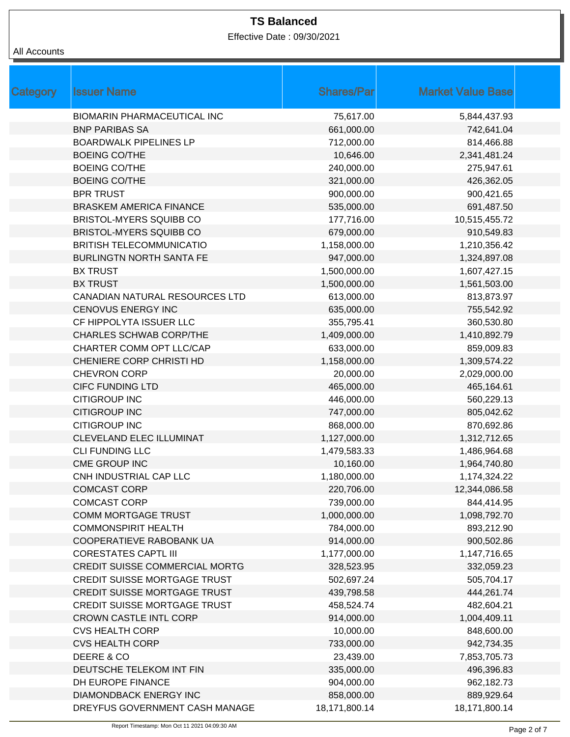Effective Date : 09/30/2021

| Category | <b>Issuer Name</b>                    | <b>Shares/Par</b> | <b>Market Value Base</b> |
|----------|---------------------------------------|-------------------|--------------------------|
|          | <b>BIOMARIN PHARMACEUTICAL INC</b>    | 75,617.00         | 5,844,437.93             |
|          | <b>BNP PARIBAS SA</b>                 | 661,000.00        | 742,641.04               |
|          | <b>BOARDWALK PIPELINES LP</b>         | 712,000.00        | 814,466.88               |
|          | <b>BOEING CO/THE</b>                  | 10,646.00         | 2,341,481.24             |
|          | <b>BOEING CO/THE</b>                  | 240,000.00        | 275,947.61               |
|          | <b>BOEING CO/THE</b>                  | 321,000.00        | 426,362.05               |
|          | <b>BPR TRUST</b>                      | 900,000.00        | 900,421.65               |
|          | <b>BRASKEM AMERICA FINANCE</b>        | 535,000.00        | 691,487.50               |
|          | <b>BRISTOL-MYERS SQUIBB CO</b>        | 177,716.00        | 10,515,455.72            |
|          | <b>BRISTOL-MYERS SQUIBB CO</b>        | 679,000.00        | 910,549.83               |
|          | <b>BRITISH TELECOMMUNICATIO</b>       | 1,158,000.00      | 1,210,356.42             |
|          | <b>BURLINGTN NORTH SANTA FE</b>       | 947,000.00        | 1,324,897.08             |
|          | <b>BX TRUST</b>                       | 1,500,000.00      | 1,607,427.15             |
|          | <b>BX TRUST</b>                       | 1,500,000.00      | 1,561,503.00             |
|          | CANADIAN NATURAL RESOURCES LTD        | 613,000.00        | 813,873.97               |
|          | <b>CENOVUS ENERGY INC</b>             | 635,000.00        | 755,542.92               |
|          | CF HIPPOLYTA ISSUER LLC               | 355,795.41        | 360,530.80               |
|          | <b>CHARLES SCHWAB CORP/THE</b>        | 1,409,000.00      | 1,410,892.79             |
|          | CHARTER COMM OPT LLC/CAP              | 633,000.00        | 859,009.83               |
|          | CHENIERE CORP CHRISTI HD              | 1,158,000.00      | 1,309,574.22             |
|          | <b>CHEVRON CORP</b>                   | 20,000.00         | 2,029,000.00             |
|          | <b>CIFC FUNDING LTD</b>               | 465,000.00        | 465,164.61               |
|          | <b>CITIGROUP INC</b>                  | 446,000.00        | 560,229.13               |
|          | <b>CITIGROUP INC</b>                  | 747,000.00        | 805,042.62               |
|          | <b>CITIGROUP INC</b>                  | 868,000.00        | 870,692.86               |
|          | CLEVELAND ELEC ILLUMINAT              | 1,127,000.00      | 1,312,712.65             |
|          | <b>CLI FUNDING LLC</b>                | 1,479,583.33      | 1,486,964.68             |
|          | CME GROUP INC                         | 10,160.00         | 1,964,740.80             |
|          | CNH INDUSTRIAL CAP LLC                | 1,180,000.00      | 1,174,324.22             |
|          | <b>COMCAST CORP</b>                   | 220,706.00        | 12,344,086.58            |
|          | <b>COMCAST CORP</b>                   | 739,000.00        | 844,414.95               |
|          | <b>COMM MORTGAGE TRUST</b>            | 1,000,000.00      | 1,098,792.70             |
|          | <b>COMMONSPIRIT HEALTH</b>            | 784,000.00        | 893,212.90               |
|          | COOPERATIEVE RABOBANK UA              | 914,000.00        | 900,502.86               |
|          | <b>CORESTATES CAPTL III</b>           | 1,177,000.00      | 1,147,716.65             |
|          | <b>CREDIT SUISSE COMMERCIAL MORTG</b> | 328,523.95        | 332,059.23               |
|          | CREDIT SUISSE MORTGAGE TRUST          | 502,697.24        | 505,704.17               |
|          | <b>CREDIT SUISSE MORTGAGE TRUST</b>   | 439,798.58        | 444,261.74               |
|          | <b>CREDIT SUISSE MORTGAGE TRUST</b>   | 458,524.74        | 482,604.21               |
|          | <b>CROWN CASTLE INTL CORP</b>         | 914,000.00        | 1,004,409.11             |
|          | <b>CVS HEALTH CORP</b>                | 10,000.00         | 848,600.00               |
|          | <b>CVS HEALTH CORP</b>                | 733,000.00        | 942,734.35               |
|          | DEERE & CO                            | 23,439.00         | 7,853,705.73             |
|          | DEUTSCHE TELEKOM INT FIN              | 335,000.00        | 496,396.83               |
|          | DH EUROPE FINANCE                     | 904,000.00        | 962,182.73               |
|          | DIAMONDBACK ENERGY INC                | 858,000.00        | 889,929.64               |
|          | DREYFUS GOVERNMENT CASH MANAGE        | 18,171,800.14     | 18,171,800.14            |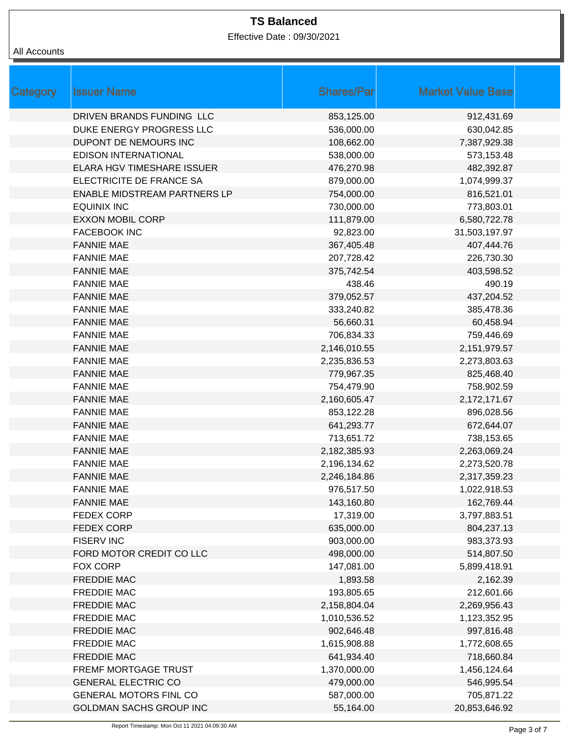Effective Date : 09/30/2021

| All Accounts |
|--------------|
|              |

| Category | <b>Issuer Name</b>                  | <b>Shares/Par</b> | <b>Market Value Base</b> |
|----------|-------------------------------------|-------------------|--------------------------|
|          | DRIVEN BRANDS FUNDING LLC           | 853,125.00        | 912,431.69               |
|          | DUKE ENERGY PROGRESS LLC            | 536,000.00        | 630,042.85               |
|          | DUPONT DE NEMOURS INC               | 108,662.00        | 7,387,929.38             |
|          | <b>EDISON INTERNATIONAL</b>         | 538,000.00        | 573,153.48               |
|          | ELARA HGV TIMESHARE ISSUER          | 476,270.98        | 482,392.87               |
|          | ELECTRICITE DE FRANCE SA            | 879,000.00        | 1,074,999.37             |
|          | <b>ENABLE MIDSTREAM PARTNERS LP</b> | 754,000.00        | 816,521.01               |
|          | <b>EQUINIX INC</b>                  | 730,000.00        | 773,803.01               |
|          | <b>EXXON MOBIL CORP</b>             | 111,879.00        | 6,580,722.78             |
|          | <b>FACEBOOK INC</b>                 | 92,823.00         | 31,503,197.97            |
|          | <b>FANNIE MAE</b>                   | 367,405.48        | 407,444.76               |
|          | <b>FANNIE MAE</b>                   | 207,728.42        | 226,730.30               |
|          | <b>FANNIE MAE</b>                   | 375,742.54        | 403,598.52               |
|          | <b>FANNIE MAE</b>                   | 438.46            | 490.19                   |
|          | <b>FANNIE MAE</b>                   | 379,052.57        | 437,204.52               |
|          | <b>FANNIE MAE</b>                   | 333,240.82        | 385,478.36               |
|          | <b>FANNIE MAE</b>                   | 56,660.31         | 60,458.94                |
|          | <b>FANNIE MAE</b>                   | 706,834.33        | 759,446.69               |
|          | <b>FANNIE MAE</b>                   | 2,146,010.55      | 2,151,979.57             |
|          | <b>FANNIE MAE</b>                   | 2,235,836.53      | 2,273,803.63             |
|          | <b>FANNIE MAE</b>                   | 779,967.35        | 825,468.40               |
|          | <b>FANNIE MAE</b>                   | 754,479.90        | 758,902.59               |
|          | <b>FANNIE MAE</b>                   | 2,160,605.47      | 2,172,171.67             |
|          | <b>FANNIE MAE</b>                   | 853,122.28        | 896,028.56               |
|          | <b>FANNIE MAE</b>                   | 641,293.77        | 672,644.07               |
|          | <b>FANNIE MAE</b>                   | 713,651.72        | 738,153.65               |
|          | <b>FANNIE MAE</b>                   | 2,182,385.93      | 2,263,069.24             |
|          | <b>FANNIE MAE</b>                   | 2,196,134.62      | 2,273,520.78             |
|          | <b>FANNIE MAE</b>                   | 2,246,184.86      | 2,317,359.23             |
|          | <b>FANNIE MAE</b>                   | 976,517.50        | 1,022,918.53             |
|          | <b>FANNIE MAE</b>                   | 143,160.80        | 162,769.44               |
|          | <b>FEDEX CORP</b>                   | 17,319.00         | 3,797,883.51             |
|          | <b>FEDEX CORP</b>                   | 635,000.00        | 804,237.13               |
|          | <b>FISERV INC</b>                   | 903,000.00        | 983,373.93               |
|          | FORD MOTOR CREDIT CO LLC            | 498,000.00        | 514,807.50               |
|          | <b>FOX CORP</b>                     | 147,081.00        | 5,899,418.91             |
|          | <b>FREDDIE MAC</b>                  | 1,893.58          | 2,162.39                 |
|          | <b>FREDDIE MAC</b>                  | 193,805.65        | 212,601.66               |
|          | <b>FREDDIE MAC</b>                  | 2,158,804.04      | 2,269,956.43             |
|          | <b>FREDDIE MAC</b>                  | 1,010,536.52      | 1,123,352.95             |
|          | <b>FREDDIE MAC</b>                  | 902,646.48        | 997,816.48               |
|          | <b>FREDDIE MAC</b>                  | 1,615,908.88      | 1,772,608.65             |
|          | <b>FREDDIE MAC</b>                  | 641,934.40        | 718,660.84               |
|          | FREMF MORTGAGE TRUST                | 1,370,000.00      | 1,456,124.64             |
|          | <b>GENERAL ELECTRIC CO</b>          | 479,000.00        | 546,995.54               |
|          | <b>GENERAL MOTORS FINL CO</b>       | 587,000.00        | 705,871.22               |
|          | GOLDMAN SACHS GROUP INC             | 55,164.00         | 20,853,646.92            |
|          |                                     |                   |                          |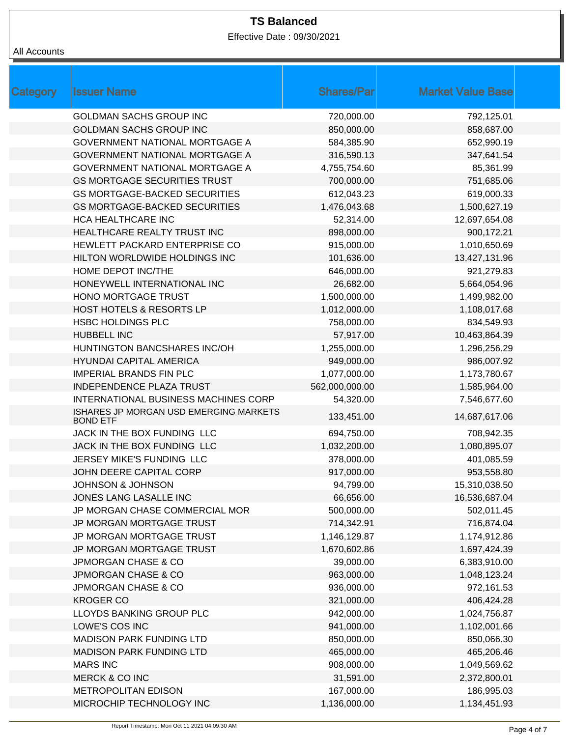Effective Date : 09/30/2021

| Category | <b>Issuer Name</b>                                                             | <b>Shares/Par</b>         | <b>Market Value Base</b>      |  |
|----------|--------------------------------------------------------------------------------|---------------------------|-------------------------------|--|
|          | <b>GOLDMAN SACHS GROUP INC</b>                                                 | 720,000.00                | 792,125.01                    |  |
|          | <b>GOLDMAN SACHS GROUP INC</b>                                                 | 850,000.00                | 858,687.00                    |  |
|          | <b>GOVERNMENT NATIONAL MORTGAGE A</b>                                          | 584,385.90                | 652,990.19                    |  |
|          | <b>GOVERNMENT NATIONAL MORTGAGE A</b>                                          | 316,590.13                | 347,641.54                    |  |
|          | <b>GOVERNMENT NATIONAL MORTGAGE A</b>                                          | 4,755,754.60              | 85,361.99                     |  |
|          | <b>GS MORTGAGE SECURITIES TRUST</b>                                            | 700,000.00                | 751,685.06                    |  |
|          | <b>GS MORTGAGE-BACKED SECURITIES</b>                                           | 612,043.23                | 619,000.33                    |  |
|          | <b>GS MORTGAGE-BACKED SECURITIES</b>                                           | 1,476,043.68              | 1,500,627.19                  |  |
|          | HCA HEALTHCARE INC                                                             | 52,314.00                 | 12,697,654.08                 |  |
|          | HEALTHCARE REALTY TRUST INC                                                    | 898,000.00                | 900,172.21                    |  |
|          | HEWLETT PACKARD ENTERPRISE CO                                                  | 915,000.00                | 1,010,650.69                  |  |
|          | HILTON WORLDWIDE HOLDINGS INC                                                  | 101,636.00                | 13,427,131.96                 |  |
|          | HOME DEPOT INC/THE                                                             | 646,000.00                | 921,279.83                    |  |
|          | HONEYWELL INTERNATIONAL INC                                                    | 26,682.00                 | 5,664,054.96                  |  |
|          | HONO MORTGAGE TRUST                                                            | 1,500,000.00              | 1,499,982.00                  |  |
|          | <b>HOST HOTELS &amp; RESORTS LP</b>                                            | 1,012,000.00              | 1,108,017.68                  |  |
|          | <b>HSBC HOLDINGS PLC</b>                                                       | 758,000.00                | 834,549.93                    |  |
|          | HUBBELL INC                                                                    | 57,917.00                 | 10,463,864.39                 |  |
|          | HUNTINGTON BANCSHARES INC/OH                                                   | 1,255,000.00              | 1,296,256.29                  |  |
|          | HYUNDAI CAPITAL AMERICA                                                        | 949,000.00                | 986,007.92                    |  |
|          | <b>IMPERIAL BRANDS FIN PLC</b>                                                 | 1,077,000.00              | 1,173,780.67                  |  |
|          | <b>INDEPENDENCE PLAZA TRUST</b>                                                | 562,000,000.00            | 1,585,964.00                  |  |
|          | INTERNATIONAL BUSINESS MACHINES CORP<br>ISHARES JP MORGAN USD EMERGING MARKETS | 54,320.00<br>133,451.00   | 7,546,677.60<br>14,687,617.06 |  |
|          | <b>BOND ETF</b>                                                                |                           |                               |  |
|          | JACK IN THE BOX FUNDING LLC                                                    | 694,750.00                | 708,942.35                    |  |
|          | JACK IN THE BOX FUNDING LLC                                                    | 1,032,200.00              | 1,080,895.07                  |  |
|          | JERSEY MIKE'S FUNDING LLC                                                      | 378,000.00                | 401,085.59                    |  |
|          | JOHN DEERE CAPITAL CORP                                                        | 917,000.00                | 953,558.80                    |  |
|          | JOHNSON & JOHNSON                                                              | 94,799.00                 | 15,310,038.50                 |  |
|          | JONES LANG LASALLE INC                                                         | 66,656.00                 | 16,536,687.04                 |  |
|          | JP MORGAN CHASE COMMERCIAL MOR<br>JP MORGAN MORTGAGE TRUST                     | 500,000.00                | 502,011.45                    |  |
|          | JP MORGAN MORTGAGE TRUST                                                       | 714,342.91                | 716,874.04                    |  |
|          |                                                                                | 1,146,129.87              | 1,174,912.86                  |  |
|          | JP MORGAN MORTGAGE TRUST                                                       | 1,670,602.86<br>39,000.00 | 1,697,424.39                  |  |
|          | <b>JPMORGAN CHASE &amp; CO</b><br><b>JPMORGAN CHASE &amp; CO</b>               | 963,000.00                | 6,383,910.00<br>1,048,123.24  |  |
|          | <b>JPMORGAN CHASE &amp; CO</b>                                                 | 936,000.00                | 972,161.53                    |  |
|          | <b>KROGER CO</b>                                                               | 321,000.00                | 406,424.28                    |  |
|          | LLOYDS BANKING GROUP PLC                                                       | 942,000.00                | 1,024,756.87                  |  |
|          | LOWE'S COS INC                                                                 | 941,000.00                | 1,102,001.66                  |  |
|          | MADISON PARK FUNDING LTD                                                       | 850,000.00                | 850,066.30                    |  |
|          | <b>MADISON PARK FUNDING LTD</b>                                                | 465,000.00                | 465,206.46                    |  |
|          | <b>MARS INC</b>                                                                | 908,000.00                | 1,049,569.62                  |  |
|          | <b>MERCK &amp; CO INC</b>                                                      | 31,591.00                 | 2,372,800.01                  |  |
|          | <b>METROPOLITAN EDISON</b>                                                     | 167,000.00                | 186,995.03                    |  |
|          | MICROCHIP TECHNOLOGY INC                                                       | 1,136,000.00              | 1,134,451.93                  |  |
|          |                                                                                |                           |                               |  |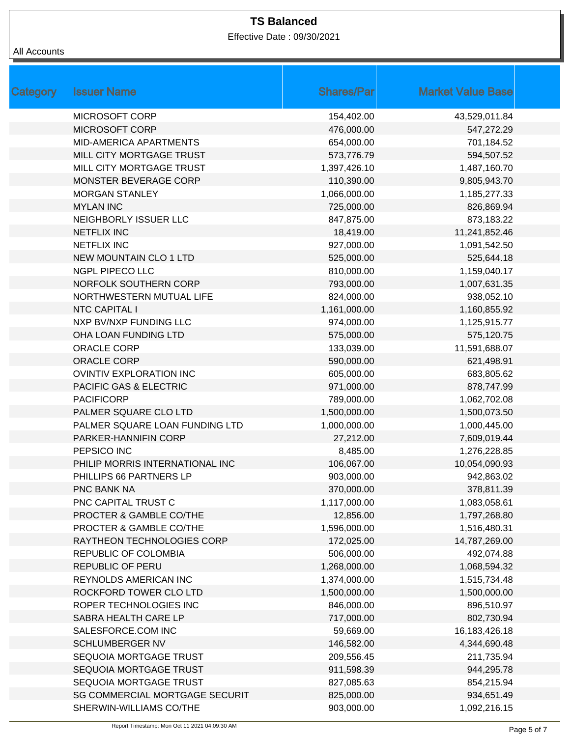Effective Date : 09/30/2021

| <b>Category</b> | <b>Issuer Name</b>                    | <b>Shares/Par</b> | <b>Market Value Base</b> |
|-----------------|---------------------------------------|-------------------|--------------------------|
|                 | MICROSOFT CORP                        | 154,402.00        | 43,529,011.84            |
|                 | MICROSOFT CORP                        | 476,000.00        | 547,272.29               |
|                 | MID-AMERICA APARTMENTS                | 654,000.00        | 701,184.52               |
|                 | MILL CITY MORTGAGE TRUST              | 573,776.79        | 594,507.52               |
|                 | MILL CITY MORTGAGE TRUST              | 1,397,426.10      | 1,487,160.70             |
|                 | MONSTER BEVERAGE CORP                 | 110,390.00        | 9,805,943.70             |
|                 | <b>MORGAN STANLEY</b>                 | 1,066,000.00      | 1,185,277.33             |
|                 | <b>MYLAN INC</b>                      | 725,000.00        | 826,869.94               |
|                 | NEIGHBORLY ISSUER LLC                 | 847,875.00        | 873,183.22               |
|                 | <b>NETFLIX INC</b>                    | 18,419.00         | 11,241,852.46            |
|                 | <b>NETFLIX INC</b>                    | 927,000.00        | 1,091,542.50             |
|                 | <b>NEW MOUNTAIN CLO 1 LTD</b>         | 525,000.00        | 525,644.18               |
|                 | NGPL PIPECO LLC                       | 810,000.00        | 1,159,040.17             |
|                 | NORFOLK SOUTHERN CORP                 | 793,000.00        | 1,007,631.35             |
|                 | NORTHWESTERN MUTUAL LIFE              | 824,000.00        | 938,052.10               |
|                 | <b>NTC CAPITAL I</b>                  | 1,161,000.00      | 1,160,855.92             |
|                 | NXP BV/NXP FUNDING LLC                | 974,000.00        | 1,125,915.77             |
|                 | OHA LOAN FUNDING LTD                  | 575,000.00        | 575,120.75               |
|                 | ORACLE CORP                           | 133,039.00        | 11,591,688.07            |
|                 | ORACLE CORP                           | 590,000.00        | 621,498.91               |
|                 | <b>OVINTIV EXPLORATION INC</b>        | 605,000.00        | 683,805.62               |
|                 | PACIFIC GAS & ELECTRIC                | 971,000.00        | 878,747.99               |
|                 | <b>PACIFICORP</b>                     | 789,000.00        | 1,062,702.08             |
|                 | PALMER SQUARE CLO LTD                 | 1,500,000.00      | 1,500,073.50             |
|                 | PALMER SQUARE LOAN FUNDING LTD        | 1,000,000.00      | 1,000,445.00             |
|                 | PARKER-HANNIFIN CORP                  | 27,212.00         | 7,609,019.44             |
|                 | PEPSICO INC                           | 8,485.00          | 1,276,228.85             |
|                 | PHILIP MORRIS INTERNATIONAL INC       | 106,067.00        | 10,054,090.93            |
|                 | PHILLIPS 66 PARTNERS LP               | 903,000.00        | 942,863.02               |
|                 | PNC BANK NA                           | 370,000.00        | 378,811.39               |
|                 | PNC CAPITAL TRUST C                   | 1,117,000.00      | 1,083,058.61             |
|                 | PROCTER & GAMBLE CO/THE               | 12,856.00         | 1,797,268.80             |
|                 | PROCTER & GAMBLE CO/THE               | 1,596,000.00      | 1,516,480.31             |
|                 | RAYTHEON TECHNOLOGIES CORP            | 172,025.00        | 14,787,269.00            |
|                 | REPUBLIC OF COLOMBIA                  | 506,000.00        | 492,074.88               |
|                 | REPUBLIC OF PERU                      | 1,268,000.00      | 1,068,594.32             |
|                 | <b>REYNOLDS AMERICAN INC</b>          | 1,374,000.00      | 1,515,734.48             |
|                 | ROCKFORD TOWER CLO LTD                | 1,500,000.00      | 1,500,000.00             |
|                 | ROPER TECHNOLOGIES INC                | 846,000.00        | 896,510.97               |
|                 | SABRA HEALTH CARE LP                  | 717,000.00        | 802,730.94               |
|                 | SALESFORCE.COM INC                    | 59,669.00         | 16, 183, 426. 18         |
|                 | SCHLUMBERGER NV                       | 146,582.00        | 4,344,690.48             |
|                 | SEQUOIA MORTGAGE TRUST                | 209,556.45        | 211,735.94               |
|                 | SEQUOIA MORTGAGE TRUST                | 911,598.39        | 944,295.78               |
|                 | SEQUOIA MORTGAGE TRUST                | 827,085.63        | 854,215.94               |
|                 | <b>SG COMMERCIAL MORTGAGE SECURIT</b> | 825,000.00        | 934,651.49               |
|                 | SHERWIN-WILLIAMS CO/THE               | 903,000.00        | 1,092,216.15             |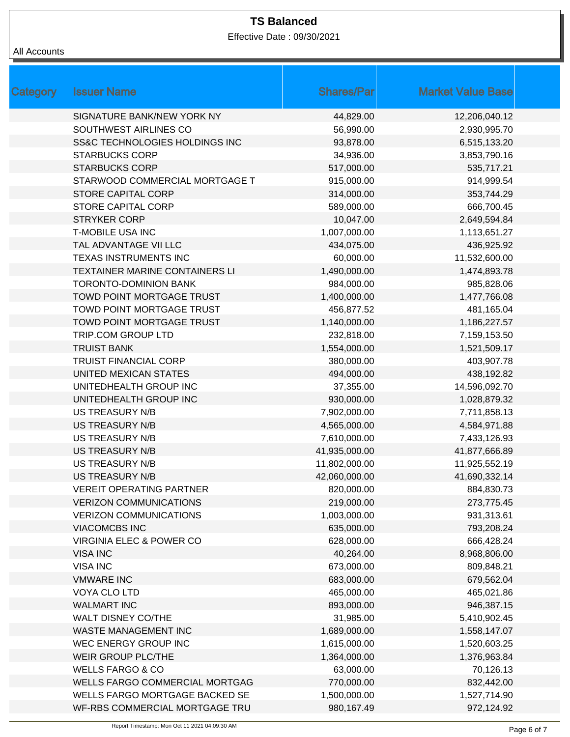Effective Date : 09/30/2021

| Category | <b>Issuer Name</b>                    | <b>Shares/Par</b> | <b>Market Value Base</b> |
|----------|---------------------------------------|-------------------|--------------------------|
|          | SIGNATURE BANK/NEW YORK NY            | 44,829.00         | 12,206,040.12            |
|          | SOUTHWEST AIRLINES CO                 | 56,990.00         | 2,930,995.70             |
|          | SS&C TECHNOLOGIES HOLDINGS INC        | 93,878.00         | 6,515,133.20             |
|          | <b>STARBUCKS CORP</b>                 | 34,936.00         | 3,853,790.16             |
|          | <b>STARBUCKS CORP</b>                 | 517,000.00        | 535,717.21               |
|          | STARWOOD COMMERCIAL MORTGAGE T        | 915,000.00        | 914,999.54               |
|          | STORE CAPITAL CORP                    | 314,000.00        | 353,744.29               |
|          | <b>STORE CAPITAL CORP</b>             | 589,000.00        | 666,700.45               |
|          | <b>STRYKER CORP</b>                   | 10,047.00         | 2,649,594.84             |
|          | <b>T-MOBILE USA INC</b>               | 1,007,000.00      | 1,113,651.27             |
|          | TAL ADVANTAGE VII LLC                 | 434,075.00        | 436,925.92               |
|          | TEXAS INSTRUMENTS INC                 | 60,000.00         | 11,532,600.00            |
|          | <b>TEXTAINER MARINE CONTAINERS LI</b> | 1,490,000.00      | 1,474,893.78             |
|          | <b>TORONTO-DOMINION BANK</b>          | 984,000.00        | 985,828.06               |
|          | TOWD POINT MORTGAGE TRUST             | 1,400,000.00      | 1,477,766.08             |
|          | TOWD POINT MORTGAGE TRUST             | 456,877.52        | 481,165.04               |
|          | <b>TOWD POINT MORTGAGE TRUST</b>      | 1,140,000.00      | 1,186,227.57             |
|          | TRIP.COM GROUP LTD                    | 232,818.00        | 7,159,153.50             |
|          | <b>TRUIST BANK</b>                    | 1,554,000.00      | 1,521,509.17             |
|          | <b>TRUIST FINANCIAL CORP</b>          | 380,000.00        | 403,907.78               |
|          | UNITED MEXICAN STATES                 | 494,000.00        | 438,192.82               |
|          | UNITEDHEALTH GROUP INC                | 37,355.00         | 14,596,092.70            |
|          | UNITEDHEALTH GROUP INC                | 930,000.00        | 1,028,879.32             |
|          | US TREASURY N/B                       | 7,902,000.00      | 7,711,858.13             |
|          | <b>US TREASURY N/B</b>                | 4,565,000.00      | 4,584,971.88             |
|          | <b>US TREASURY N/B</b>                | 7,610,000.00      | 7,433,126.93             |
|          | <b>US TREASURY N/B</b>                | 41,935,000.00     | 41,877,666.89            |
|          | <b>US TREASURY N/B</b>                | 11,802,000.00     | 11,925,552.19            |
|          | <b>US TREASURY N/B</b>                | 42,060,000.00     | 41,690,332.14            |
|          | <b>VEREIT OPERATING PARTNER</b>       | 820,000.00        | 884,830.73               |
|          | <b>VERIZON COMMUNICATIONS</b>         | 219,000.00        | 273,775.45               |
|          | <b>VERIZON COMMUNICATIONS</b>         | 1,003,000.00      | 931,313.61               |
|          | <b>VIACOMCBS INC</b>                  | 635,000.00        | 793,208.24               |
|          | <b>VIRGINIA ELEC &amp; POWER CO</b>   | 628,000.00        | 666,428.24               |
|          | <b>VISA INC</b>                       | 40,264.00         | 8,968,806.00             |
|          | <b>VISA INC</b>                       | 673,000.00        | 809,848.21               |
|          | <b>VMWARE INC</b>                     | 683,000.00        | 679,562.04               |
|          | VOYA CLO LTD                          | 465,000.00        | 465,021.86               |
|          | <b>WALMART INC</b>                    | 893,000.00        | 946,387.15               |
|          | WALT DISNEY CO/THE                    | 31,985.00         | 5,410,902.45             |
|          | <b>WASTE MANAGEMENT INC</b>           | 1,689,000.00      | 1,558,147.07             |
|          | WEC ENERGY GROUP INC                  | 1,615,000.00      | 1,520,603.25             |
|          | WEIR GROUP PLC/THE                    | 1,364,000.00      | 1,376,963.84             |
|          | <b>WELLS FARGO &amp; CO</b>           | 63,000.00         | 70,126.13                |
|          | <b>WELLS FARGO COMMERCIAL MORTGAG</b> | 770,000.00        | 832,442.00               |
|          | WELLS FARGO MORTGAGE BACKED SE        | 1,500,000.00      | 1,527,714.90             |
|          | WF-RBS COMMERCIAL MORTGAGE TRU        | 980,167.49        | 972,124.92               |
|          |                                       |                   |                          |